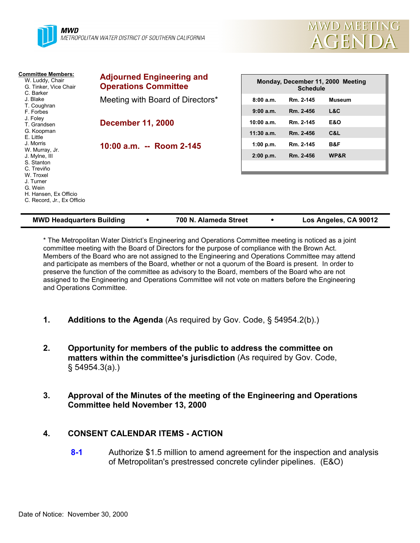

| <b>Committee Members:</b><br>W. Luddy, Chair<br>G. Tinker, Vice Chair<br>C. Barker                                                                      | <b>Adjourned Engineering and</b><br><b>Operations Committee</b> | Monday, December 11, 2000 Meeting<br><b>Schedule</b> |           |                |  |
|---------------------------------------------------------------------------------------------------------------------------------------------------------|-----------------------------------------------------------------|------------------------------------------------------|-----------|----------------|--|
| J. Blake                                                                                                                                                | Meeting with Board of Directors*                                | 8:00a.m.                                             | Rm. 2-145 | <b>Museum</b>  |  |
| T. Coughran<br>F. Forbes                                                                                                                                |                                                                 | 9:00 a.m.                                            | Rm. 2-456 | L&C            |  |
| J. Foley<br>T. Grandsen                                                                                                                                 | <b>December 11, 2000</b>                                        | 10:00 a.m.                                           | Rm. 2-145 | <b>E&amp;O</b> |  |
| G. Koopman<br>E. Little                                                                                                                                 |                                                                 | $11:30$ a.m.                                         | Rm. 2-456 | C&L            |  |
| J. Morris                                                                                                                                               | 10:00 a.m. -- Room 2-145                                        | 1:00 p.m.                                            | Rm. 2-145 | B&F            |  |
| W. Murray, Jr.<br>J. Mylne, III<br>S. Stanton<br>C. Treviño<br>W. Troxel<br>J. Turner<br>G. Wein<br>H. Hansen, Ex Officio<br>C. Record, Jr., Ex Officio |                                                                 | 2:00 p.m.                                            | Rm. 2-456 | WP&R           |  |

| <b>MWD Headquarters Building</b> |  | 700 N. Alameda Street |  | Los Angeles, CA 90012 |
|----------------------------------|--|-----------------------|--|-----------------------|
|----------------------------------|--|-----------------------|--|-----------------------|

\* The Metropolitan Water District's Engineering and Operations Committee meeting is noticed as a joint committee meeting with the Board of Directors for the purpose of compliance with the Brown Act. Members of the Board who are not assigned to the Engineering and Operations Committee may attend and participate as members of the Board, whether or not a quorum of the Board is present. In order to preserve the function of the committee as advisory to the Board, members of the Board who are not assigned to the Engineering and Operations Committee will not vote on matters before the Engineering and Operations Committee.

- **1. Additions to the Agenda** (As required by Gov. Code, § 54954.2(b).)
- **2. Opportunity for members of the public to address the committee on matters within the committee's jurisdiction** (As required by Gov. Code, § 54954.3(a).)
- **3. Approval of the Minutes of the meeting of the Engineering and Operations Committee held November 13, 2000**

#### **4. CONSENT CALENDAR ITEMS - ACTION**

**8-1** Authorize \$1.5 million to amend agreement for the inspection and analysis of Metropolitan's prestressed concrete cylinder pipelines. (E&O)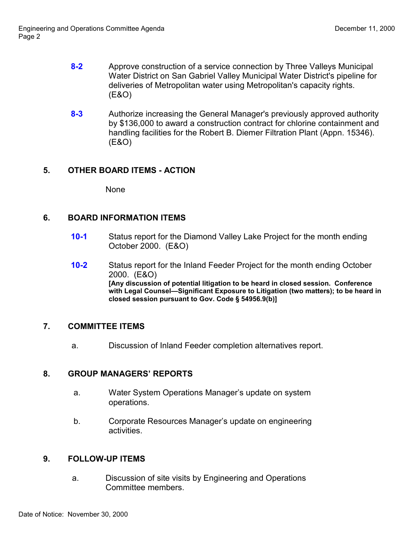- **8-2** Approve construction of a service connection by Three Valleys Municipal Water District on San Gabriel Valley Municipal Water District's pipeline for deliveries of Metropolitan water using Metropolitan's capacity rights. (E&O)
- **8-3** Authorize increasing the General Manager's previously approved authority by \$136,000 to award a construction contract for chlorine containment and handling facilities for the Robert B. Diemer Filtration Plant (Appn. 15346). (E&O)

## **5. OTHER BOARD ITEMS - ACTION**

None

# **6. BOARD INFORMATION ITEMS**

- **10-1** Status report for the Diamond Valley Lake Project for the month ending October 2000. (E&O)
- **10-2** Status report for the Inland Feeder Project for the month ending October 2000. (E&O) **[Any discussion of potential litigation to be heard in closed session. Conference with Legal Counsel—Significant Exposure to Litigation (two matters); to be heard in closed session pursuant to Gov. Code § 54956.9(b)]**

#### **7. COMMITTEE ITEMS**

a. Discussion of Inland Feeder completion alternatives report.

#### **8. GROUP MANAGERS' REPORTS**

- a. Water System Operations Manager's update on system operations.
- b. Corporate Resources Manager's update on engineering activities.

#### **9. FOLLOW-UP ITEMS**

a. Discussion of site visits by Engineering and Operations Committee members.